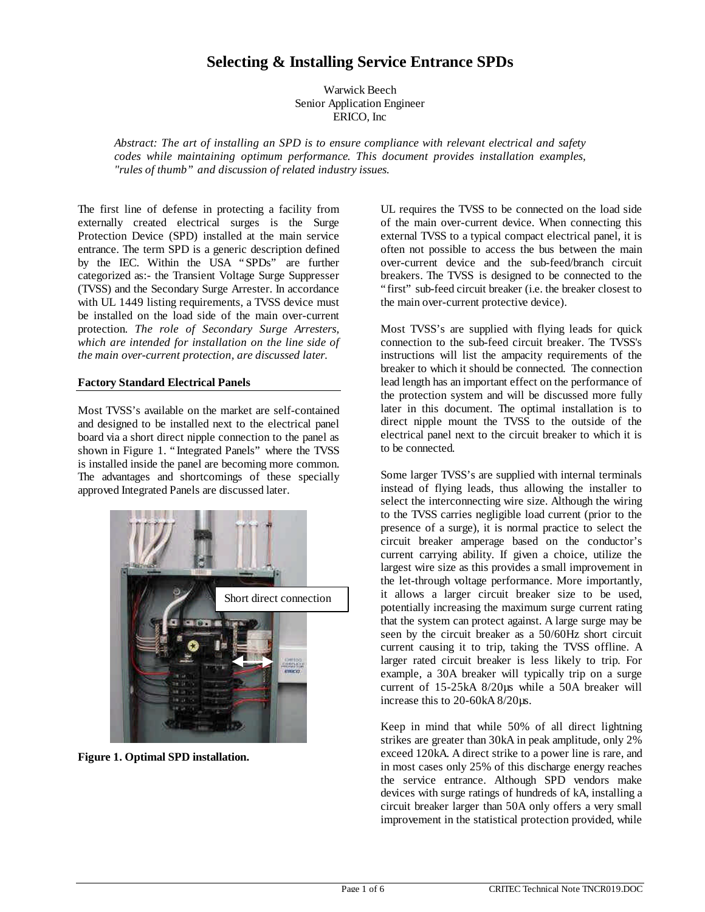# **Selecting & Installing Service Entrance SPDs**

Warwick Beech Senior Application Engineer ERICO, Inc

*Abstract: The art of installing an SPD is to ensure compliance with relevant electrical and safety codes while maintaining optimum performance. This document provides installation examples, "rules of thumb" and discussion of related industry issues.*

The first line of defense in protecting a facility from externally created electrical surges is the Surge Protection Device (SPD) installed at the main service entrance. The term SPD is a generic description defined by the IEC. Within the USA "SPDs" are further categorized as:- the Transient Voltage Surge Suppresser (TVSS) and the Secondary Surge Arrester. In accordance with UL 1449 listing requirements, a TVSS device must be installed on the load side of the main over-current protection. *The role of Secondary Surge Arresters, which are intended for installation on the line side of the main over-current protection, are discussed later.*

#### **Factory Standard Electrical Panels**

Most TVSS's available on the market are self-contained and designed to be installed next to the electrical panel board via a short direct nipple connection to the panel as shown in Figure 1. "Integrated Panels" where the TVSS is installed inside the panel are becoming more common. The advantages and shortcomings of these specially approved Integrated Panels are discussed later.



**Figure 1. Optimal SPD installation.**

UL requires the TVSS to be connected on the load side of the main over-current device. When connecting this external TVSS to a typical compact electrical panel, it is often not possible to access the bus between the main over-current device and the sub-feed/branch circuit breakers. The TVSS is designed to be connected to the "first" sub-feed circuit breaker (i.e. the breaker closest to the main over-current protective device).

Most TVSS's are supplied with flying leads for quick connection to the sub-feed circuit breaker. The TVSS's instructions will list the ampacity requirements of the breaker to which it should be connected. The connection lead length has an important effect on the performance of the protection system and will be discussed more fully later in this document. The optimal installation is to direct nipple mount the TVSS to the outside of the electrical panel next to the circuit breaker to which it is to be connected.

Some larger TVSS's are supplied with internal terminals instead of flying leads, thus allowing the installer to select the interconnecting wire size. Although the wiring to the TVSS carries negligible load current (prior to the presence of a surge), it is normal practice to select the circuit breaker amperage based on the conductor's current carrying ability. If given a choice, utilize the largest wire size as this provides a small improvement in the let-through voltage performance. More importantly, it allows a larger circuit breaker size to be used, potentially increasing the maximum surge current rating that the system can protect against. A large surge may be seen by the circuit breaker as a 50/60Hz short circuit current causing it to trip, taking the TVSS offline. A larger rated circuit breaker is less likely to trip. For example, a 30A breaker will typically trip on a surge current of 15-25kA 8/20µs while a 50A breaker will increase this to 20-60kA 8/20µs.

Keep in mind that while 50% of all direct lightning strikes are greater than 30kA in peak amplitude, only 2% exceed 120kA. A direct strike to a power line is rare, and in most cases only 25% of this discharge energy reaches the service entrance. Although SPD vendors make devices with surge ratings of hundreds of kA, installing a circuit breaker larger than 50A only offers a very small improvement in the statistical protection provided, while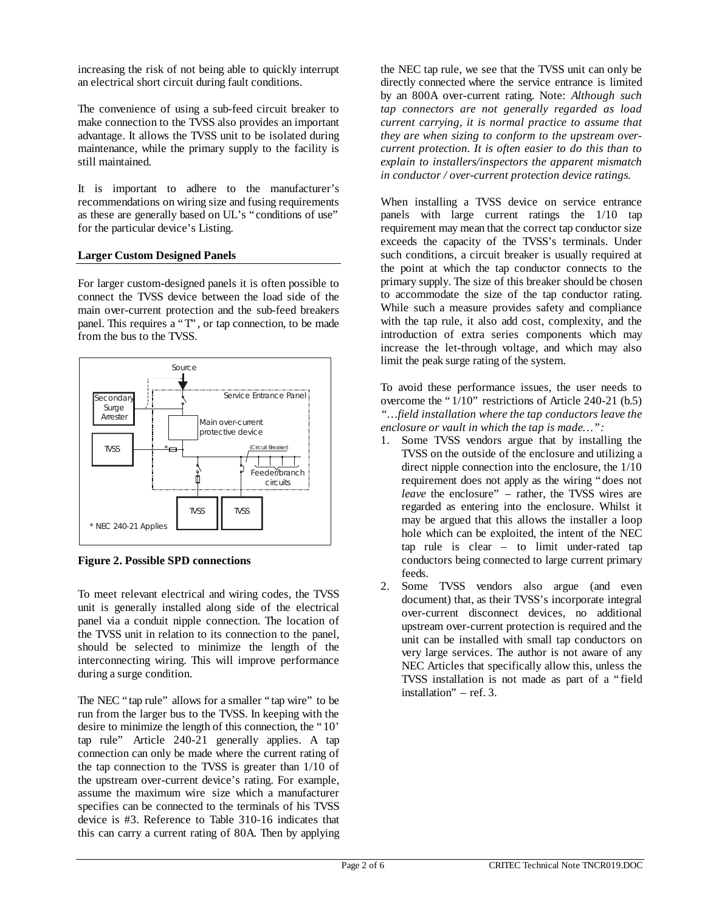increasing the risk of not being able to quickly interrupt an electrical short circuit during fault conditions.

The convenience of using a sub-feed circuit breaker to make connection to the TVSS also provides an important advantage. It allows the TVSS unit to be isolated during maintenance, while the primary supply to the facility is still maintained.

It is important to adhere to the manufacturer's recommendations on wiring size and fusing requirements as these are generally based on UL's "conditions of use" for the particular device's Listing.

#### **Larger Custom Designed Panels**

For larger custom-designed panels it is often possible to connect the TVSS device between the load side of the main over-current protection and the sub-feed breakers panel. This requires a "T", or tap connection, to be made from the bus to the TVSS.



**Figure 2. Possible SPD connections**

To meet relevant electrical and wiring codes, the TVSS unit is generally installed along side of the electrical panel via a conduit nipple connection. The location of the TVSS unit in relation to its connection to the panel, should be selected to minimize the length of the interconnecting wiring. This will improve performance during a surge condition.

The NEC "tap rule" allows for a smaller "tap wire" to be run from the larger bus to the TVSS. In keeping with the desire to minimize the length of this connection, the "10' tap rule" Article 240-21 generally applies. A tap connection can only be made where the current rating of the tap connection to the TVSS is greater than 1/10 of the upstream over-current device's rating. For example, assume the maximum wire size which a manufacturer specifies can be connected to the terminals of his TVSS device is #3. Reference to Table 310-16 indicates that this can carry a current rating of 80A. Then by applying

the NEC tap rule, we see that the TVSS unit can only be directly connected where the service entrance is limited by an 800A over-current rating. Note: *Although such tap connectors are not generally regarded as load current carrying, it is normal practice to assume that they are when sizing to conform to the upstream overcurrent protection. It is often easier to do this than to explain to installers/inspectors the apparent mismatch in conductor / over-current protection device ratings.*

When installing a TVSS device on service entrance panels with large current ratings the 1/10 tap requirement may mean that the correct tap conductor size exceeds the capacity of the TVSS's terminals. Under such conditions, a circuit breaker is usually required at the point at which the tap conductor connects to the primary supply. The size of this breaker should be chosen to accommodate the size of the tap conductor rating. While such a measure provides safety and compliance with the tap rule, it also add cost, complexity, and the introduction of extra series components which may increase the let-through voltage, and which may also limit the peak surge rating of the system.

To avoid these performance issues, the user needs to overcome the "1/10" restrictions of Article 240-21 (b.5) *"… field installation where the tap conductors leave the enclosure or vault in which the tap is made… ":*

- 1. Some TVSS vendors argue that by installing the TVSS on the outside of the enclosure and utilizing a direct nipple connection into the enclosure, the 1/10 requirement does not apply as the wiring "does not *leave* the enclosure" – rather, the TVSS wires are regarded as entering into the enclosure. Whilst it may be argued that this allows the installer a loop hole which can be exploited, the intent of the NEC tap rule is clear  $-$  to limit under-rated tap conductors being connected to large current primary feeds.
- 2. Some TVSS vendors also argue (and even document) that, as their TVSS's incorporate integral over-current disconnect devices, no additional upstream over-current protection is required and the unit can be installed with small tap conductors on very large services. The author is not aware of any NEC Articles that specifically allow this, unless the TVSS installation is not made as part of a "field installation" – ref. 3.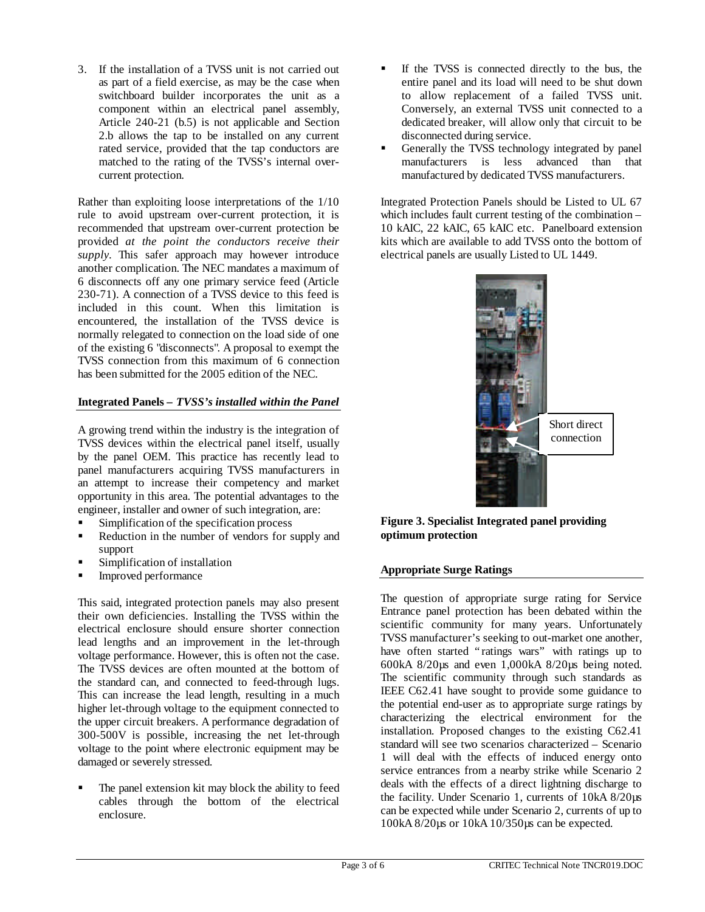3. If the installation of a TVSS unit is not carried out as part of a field exercise, as may be the case when switchboard builder incorporates the unit as a component within an electrical panel assembly, Article 240-21 (b.5) is not applicable and Section 2.b allows the tap to be installed on any current rated service, provided that the tap conductors are matched to the rating of the TVSS's internal overcurrent protection.

Rather than exploiting loose interpretations of the 1/10 rule to avoid upstream over-current protection, it is recommended that upstream over-current protection be provided *at the point the conductors receive their supply*. This safer approach may however introduce another complication. The NEC mandates a maximum of 6 disconnects off any one primary service feed (Article 230-71). A connection of a TVSS device to this feed is included in this count. When this limitation is encountered, the installation of the TVSS device is normally relegated to connection on the load side of one of the existing 6 "disconnects". A proposal to exempt the TVSS connection from this maximum of 6 connection has been submitted for the 2005 edition of the NEC.

# **Integrated Panels –** *TVSS's installed within the Panel*

A growing trend within the industry is the integration of TVSS devices within the electrical panel itself, usually by the panel OEM. This practice has recently lead to panel manufacturers acquiring TVSS manufacturers in an attempt to increase their competency and market opportunity in this area. The potential advantages to the engineer, installer and owner of such integration, are:

- ß Simplification of the specification process
- ß Reduction in the number of vendors for supply and support
- ß Simplification of installation
- ß Improved performance

This said, integrated protection panels may also present their own deficiencies. Installing the TVSS within the electrical enclosure should ensure shorter connection lead lengths and an improvement in the let-through voltage performance. However, this is often not the case. The TVSS devices are often mounted at the bottom of the standard can, and connected to feed-through lugs. This can increase the lead length, resulting in a much higher let-through voltage to the equipment connected to the upper circuit breakers. A performance degradation of 300-500V is possible, increasing the net let-through voltage to the point where electronic equipment may be damaged or severely stressed.

The panel extension kit may block the ability to feed cables through the bottom of the electrical enclosure.

- **F** If the TVSS is connected directly to the bus, the entire panel and its load will need to be shut down to allow replacement of a failed TVSS unit. Conversely, an external TVSS unit connected to a dedicated breaker, will allow only that circuit to be disconnected during service.
- ß Generally the TVSS technology integrated by panel manufacturers is less advanced than that manufactured by dedicated TVSS manufacturers.

Integrated Protection Panels should be Listed to UL 67 which includes fault current testing of the combination – 10 kAIC, 22 kAIC, 65 kAIC etc. Panelboard extension kits which are available to add TVSS onto the bottom of electrical panels are usually Listed to UL 1449.



**Figure 3. Specialist Integrated panel providing optimum protection**

## **Appropriate Surge Ratings**

The question of appropriate surge rating for Service Entrance panel protection has been debated within the scientific community for many years. Unfortunately TVSS manufacturer's seeking to out-market one another, have often started "ratings wars" with ratings up to 600kA 8/20µs and even 1,000kA 8/20µs being noted. The scientific community through such standards as IEEE C62.41 have sought to provide some guidance to the potential end-user as to appropriate surge ratings by characterizing the electrical environment for the installation. Proposed changes to the existing C62.41 standard will see two scenarios characterized – Scenario 1 will deal with the effects of induced energy onto service entrances from a nearby strike while Scenario 2 deals with the effects of a direct lightning discharge to the facility. Under Scenario 1, currents of 10kA 8/20µs can be expected while under Scenario 2, currents of up to 100kA 8/20µs or 10kA 10/350µs can be expected.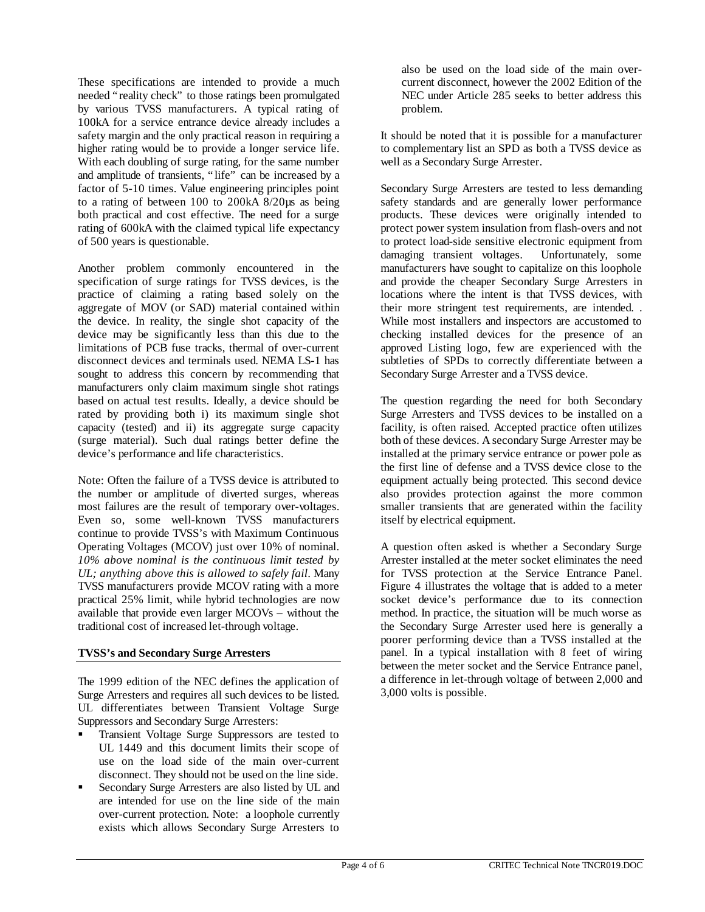These specifications are intended to provide a much needed "reality check" to those ratings been promulgated by various TVSS manufacturers. A typical rating of 100kA for a service entrance device already includes a safety margin and the only practical reason in requiring a higher rating would be to provide a longer service life. With each doubling of surge rating, for the same number and amplitude of transients, "life" can be increased by a factor of 5-10 times. Value engineering principles point to a rating of between 100 to 200kA 8/20µs as being both practical and cost effective. The need for a surge rating of 600kA with the claimed typical life expectancy of 500 years is questionable.

Another problem commonly encountered in the specification of surge ratings for TVSS devices, is the practice of claiming a rating based solely on the aggregate of MOV (or SAD) material contained within the device. In reality, the single shot capacity of the device may be significantly less than this due to the limitations of PCB fuse tracks, thermal of over-current disconnect devices and terminals used. NEMA LS-1 has sought to address this concern by recommending that manufacturers only claim maximum single shot ratings based on actual test results. Ideally, a device should be rated by providing both i) its maximum single shot capacity (tested) and ii) its aggregate surge capacity (surge material). Such dual ratings better define the device's performance and life characteristics.

Note: Often the failure of a TVSS device is attributed to the number or amplitude of diverted surges, whereas most failures are the result of temporary over-voltages. Even so, some well-known TVSS manufacturers continue to provide TVSS's with Maximum Continuous Operating Voltages (MCOV) just over 10% of nominal. *10% above nominal is the continuous limit tested by UL; anything above this is allowed to safely fail*. Many TVSS manufacturers provide MCOV rating with a more practical 25% limit, while hybrid technologies are now available that provide even larger MCOVs – without the traditional cost of increased let-through voltage.

#### **TVSS's and Secondary Surge Arresters**

The 1999 edition of the NEC defines the application of Surge Arresters and requires all such devices to be listed. UL differentiates between Transient Voltage Surge Suppressors and Secondary Surge Arresters:

- ß Transient Voltage Surge Suppressors are tested to UL 1449 and this document limits their scope of use on the load side of the main over-current disconnect. They should not be used on the line side.
- ß Secondary Surge Arresters are also listed by UL and are intended for use on the line side of the main over-current protection. Note: a loophole currently exists which allows Secondary Surge Arresters to

also be used on the load side of the main overcurrent disconnect, however the 2002 Edition of the NEC under Article 285 seeks to better address this problem.

It should be noted that it is possible for a manufacturer to complementary list an SPD as both a TVSS device as well as a Secondary Surge Arrester.

Secondary Surge Arresters are tested to less demanding safety standards and are generally lower performance products. These devices were originally intended to protect power system insulation from flash-overs and not to protect load-side sensitive electronic equipment from damaging transient voltages. Unfortunately, some manufacturers have sought to capitalize on this loophole and provide the cheaper Secondary Surge Arresters in locations where the intent is that TVSS devices, with their more stringent test requirements, are intended. . While most installers and inspectors are accustomed to checking installed devices for the presence of an approved Listing logo, few are experienced with the subtleties of SPDs to correctly differentiate between a Secondary Surge Arrester and a TVSS device.

The question regarding the need for both Secondary Surge Arresters and TVSS devices to be installed on a facility, is often raised. Accepted practice often utilizes both of these devices. A secondary Surge Arrester may be installed at the primary service entrance or power pole as the first line of defense and a TVSS device close to the equipment actually being protected. This second device also provides protection against the more common smaller transients that are generated within the facility itself by electrical equipment.

A question often asked is whether a Secondary Surge Arrester installed at the meter socket eliminates the need for TVSS protection at the Service Entrance Panel. Figure 4 illustrates the voltage that is added to a meter socket device's performance due to its connection method. In practice, the situation will be much worse as the Secondary Surge Arrester used here is generally a poorer performing device than a TVSS installed at the panel. In a typical installation with 8 feet of wiring between the meter socket and the Service Entrance panel, a difference in let-through voltage of between 2,000 and 3,000 volts is possible.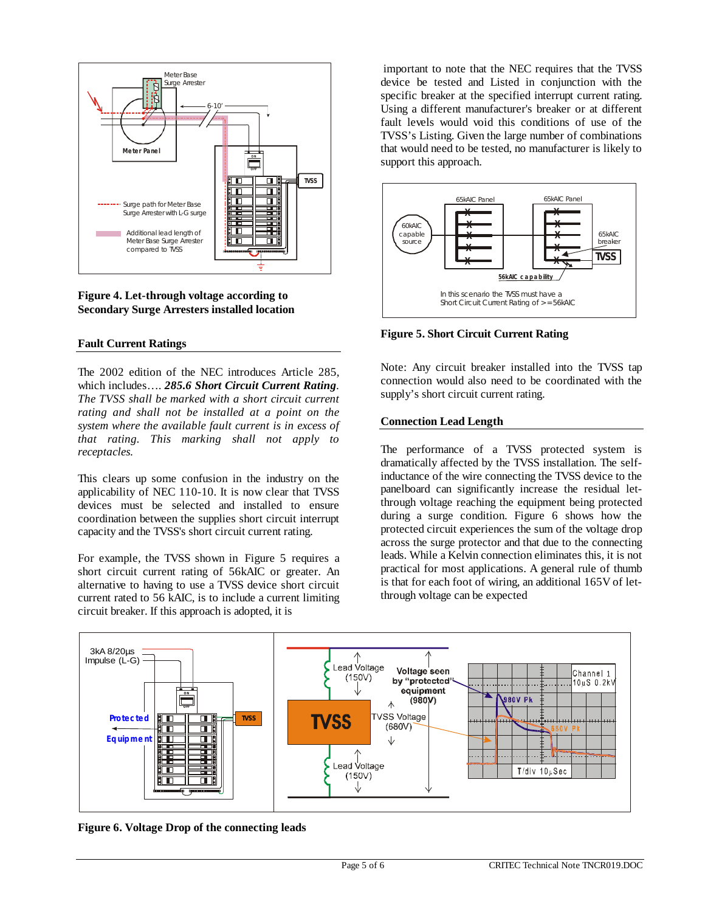

**Figure 4. Let-through voltage according to Secondary Surge Arresters installed location**

#### **Fault Current Ratings**

The 2002 edition of the NEC introduces Article 285, which includes… . *285.6 Short Circuit Current Rating. The TVSS shall be marked with a short circuit current rating and shall not be installed at a point on the system where the available fault current is in excess of that rating. This marking shall not apply to receptacles.*

This clears up some confusion in the industry on the applicability of NEC 110-10. It is now clear that TVSS devices must be selected and installed to ensure coordination between the supplies short circuit interrupt capacity and the TVSS's short circuit current rating.

For example, the TVSS shown in Figure 5 requires a short circuit current rating of 56kAIC or greater. An alternative to having to use a TVSS device short circuit current rated to 56 kAIC, is to include a current limiting circuit breaker. If this approach is adopted, it is

important to note that the NEC requires that the TVSS device be tested and Listed in conjunction with the specific breaker at the specified interrupt current rating. Using a different manufacturer's breaker or at different fault levels would void this conditions of use of the TVSS's Listing. Given the large number of combinations that would need to be tested, no manufacturer is likely to support this approach.



**Figure 5. Short Circuit Current Rating**

Note: Any circuit breaker installed into the TVSS tap connection would also need to be coordinated with the supply's short circuit current rating.

## **Connection Lead Length**

The performance of a TVSS protected system is dramatically affected by the TVSS installation. The selfinductance of the wire connecting the TVSS device to the panelboard can significantly increase the residual letthrough voltage reaching the equipment being protected during a surge condition. Figure 6 shows how the protected circuit experiences the sum of the voltage drop across the surge protector and that due to the connecting leads. While a Kelvin connection eliminates this, it is not practical for most applications. A general rule of thumb is that for each foot of wiring, an additional 165V of letthrough voltage can be expected



**Figure 6. Voltage Drop of the connecting leads**